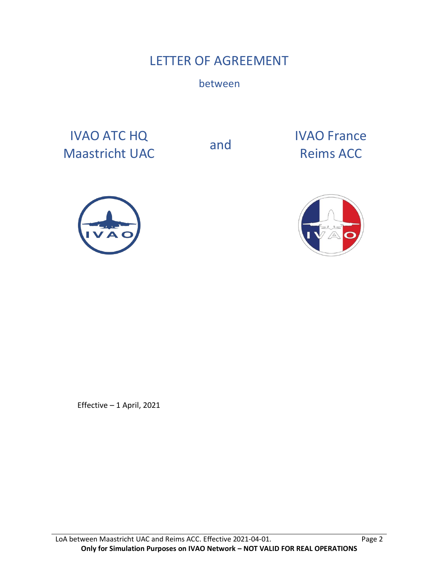# LETTER OF AGREEMENT

between

IVAO ATC HQ IVAO ATC HQ<br>
Maastricht UAC and Reims ACC

Reims ACC





Effective – 1 April, 2021

LoA between Maastricht UAC and Reims ACC. Effective 2021-04-01. Page 2 **Only for Simulation Purposes on IVAO Network – NOT VALID FOR REAL OPERATIONS**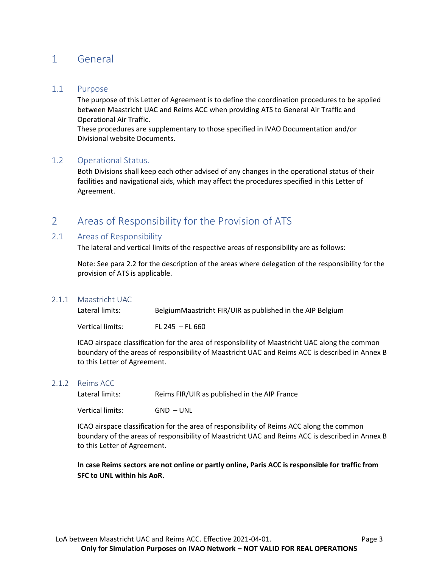# 1 General

### 1.1 Purpose

The purpose of this Letter of Agreement is to define the coordination procedures to be applied between Maastricht UAC and Reims ACC when providing ATS to General Air Traffic and Operational Air Traffic.

These procedures are supplementary to those specified in IVAO Documentation and/or Divisional website Documents.

### 1.2 Operational Status.

Both Divisions shall keep each other advised of any changes in the operational status of their facilities and navigational aids, which may affect the procedures specified in this Letter of Agreement.

# 2 Areas of Responsibility for the Provision of ATS

### 2.1 Areas of Responsibility

The lateral and vertical limits of the respective areas of responsibility are as follows:

Note: See para 2.2 for the description of the areas where delegation of the responsibility for the provision of ATS is applicable.

### 2.1.1 Maastricht UAC

| Lateral limits:  | BelgiumMaastricht FIR/UIR as published in the AIP Belgium |
|------------------|-----------------------------------------------------------|
| Vertical limits: | FL 245 $-$ FL 660                                         |

ICAO airspace classification for the area of responsibility of Maastricht UAC along the common boundary of the areas of responsibility of Maastricht UAC and Reims ACC is described in Annex B to this Letter of Agreement.

#### 2.1.2 Reims ACC

Lateral limits: Reims FIR/UIR as published in the AIP France

Vertical limits: GND – UNL

ICAO airspace classification for the area of responsibility of Reims ACC along the common boundary of the areas of responsibility of Maastricht UAC and Reims ACC is described in Annex B to this Letter of Agreement.

**In case Reims sectors are not online or partly online, Paris ACC is responsible for traffic from SFC to UNL within his AoR.**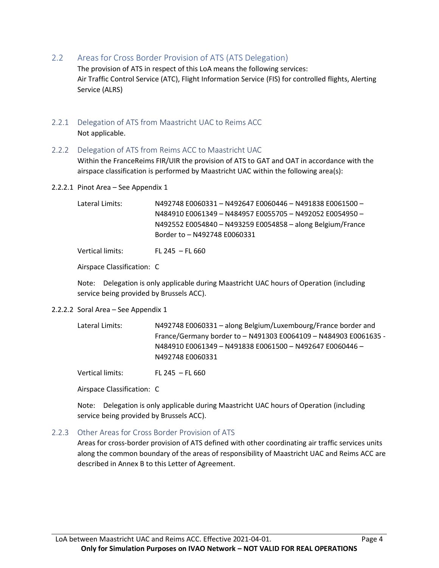2.2 Areas for Cross Border Provision of ATS (ATS Delegation)

The provision of ATS in respect of this LoA means the following services: Air Traffic Control Service (ATC), Flight Information Service (FIS) for controlled flights, Alerting Service (ALRS)

- 2.2.1 Delegation of ATS from Maastricht UAC to Reims ACC Not applicable.
- 2.2.2 Delegation of ATS from Reims ACC to Maastricht UAC

Within the FranceReims FIR/UIR the provision of ATS to GAT and OAT in accordance with the airspace classification is performed by Maastricht UAC within the following area(s):

2.2.2.1 Pinot Area – See Appendix 1

Lateral Limits: N492748 E0060331 – N492647 E0060446 – N491838 E0061500 – N484910 E0061349 – N484957 E0055705 – N492052 E0054950 – N492552 E0054840 – N493259 E0054858 – along Belgium/France Border to – N492748 E0060331

Vertical limits: FL 245 – FL 660

Airspace Classification: C

Note: Delegation is only applicable during Maastricht UAC hours of Operation (including service being provided by Brussels ACC).

2.2.2.2 Soral Area – See Appendix 1

| Lateral Limits: | N492748 E0060331 - along Belgium/Luxembourg/France border and    |
|-----------------|------------------------------------------------------------------|
|                 | France/Germany border to - N491303 E0064109 - N484903 E0061635 - |
|                 | N484910 E0061349 - N491838 E0061500 - N492647 E0060446 -         |
|                 | N492748 E0060331                                                 |

Vertical limits: FL 245 – FL 660

Airspace Classification: C

Note: Delegation is only applicable during Maastricht UAC hours of Operation (including service being provided by Brussels ACC).

#### 2.2.3 Other Areas for Cross Border Provision of ATS

Areas for cross-border provision of ATS defined with other coordinating air traffic services units along the common boundary of the areas of responsibility of Maastricht UAC and Reims ACC are described in Annex B to this Letter of Agreement.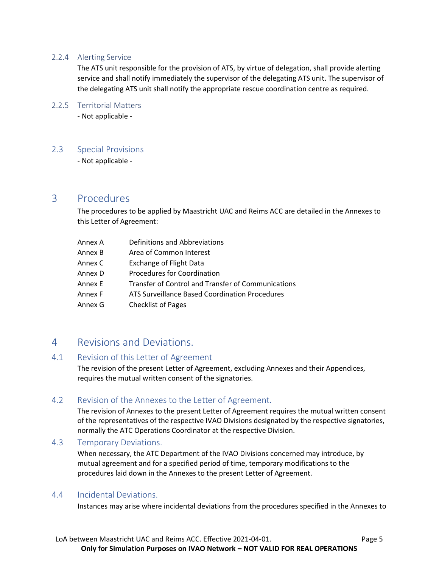## 2.2.4 Alerting Service

The ATS unit responsible for the provision of ATS, by virtue of delegation, shall provide alerting service and shall notify immediately the supervisor of the delegating ATS unit. The supervisor of the delegating ATS unit shall notify the appropriate rescue coordination centre as required.

## 2.2.5 Territorial Matters

- Not applicable -

## 2.3 Special Provisions

- Not applicable -

# 3 Procedures

The procedures to be applied by Maastricht UAC and Reims ACC are detailed in the Annexes to this Letter of Agreement:

| Annex A | Definitions and Abbreviations                      |
|---------|----------------------------------------------------|
| Annex B | Area of Common Interest                            |
| Annex C | <b>Exchange of Flight Data</b>                     |
| Annex D | Procedures for Coordination                        |
| Annex E | Transfer of Control and Transfer of Communications |
| Annex F | ATS Surveillance Based Coordination Procedures     |
| Annex G | <b>Checklist of Pages</b>                          |

# 4 Revisions and Deviations.

## 4.1 Revision of this Letter of Agreement

The revision of the present Letter of Agreement, excluding Annexes and their Appendices, requires the mutual written consent of the signatories.

## 4.2 Revision of the Annexes to the Letter of Agreement.

The revision of Annexes to the present Letter of Agreement requires the mutual written consent of the representatives of the respective IVAO Divisions designated by the respective signatories, normally the ATC Operations Coordinator at the respective Division.

## 4.3 Temporary Deviations.

When necessary, the ATC Department of the IVAO Divisions concerned may introduce, by mutual agreement and for a specified period of time, temporary modifications to the procedures laid down in the Annexes to the present Letter of Agreement.

## 4.4 Incidental Deviations.

Instances may arise where incidental deviations from the procedures specified in the Annexes to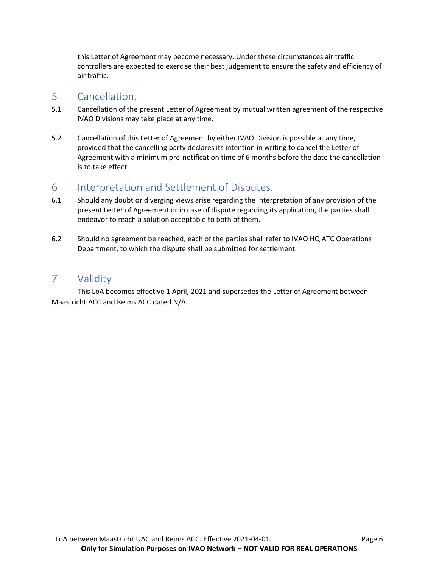this Letter of Agreement may become necessary. Under these circumstances air traffic controllers are expected to exercise their best judgement to ensure the safety and efficiency of air traffic.

# 5 Cancellation.

- 5.1 Cancellation of the present Letter of Agreement by mutual written agreement of the respective IVAO Divisions may take place at any time.
- 5.2 Cancellation of this Letter of Agreement by either IVAO Division is possible at any time, provided that the cancelling party declares its intention in writing to cancel the Letter of Agreement with a minimum pre-notification time of 6 months before the date the cancellation is to take effect.

# 6 Interpretation and Settlement of Disputes.

- 6.1 Should any doubt or diverging views arise regarding the interpretation of any provision of the present Letter of Agreement or in case of dispute regarding its application, the parties shall endeavor to reach a solution acceptable to both of them.
- 6.2 Should no agreement be reached, each of the parties shall refer to IVAO HQ ATC Operations Department, to which the dispute shall be submitted for settlement.

# 7 Validity

This LoA becomes effective 1 April, 2021 and supersedes the Letter of Agreement between Maastricht ACC and Reims ACC dated N/A.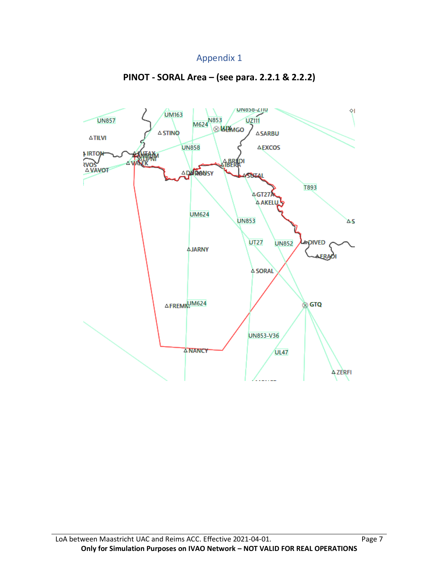# Appendix 1



# **PINOT - SORAL Area – (see para. 2.2.1 & 2.2.2)**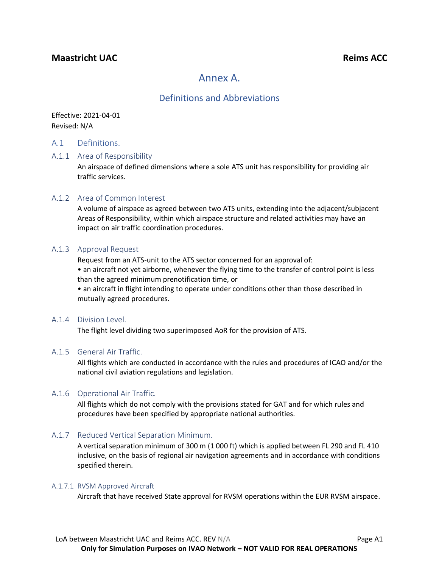# **Maastricht UAC Reims ACC**

# Annex A.

# Definitions and Abbreviations

Effective: 2021-04-01 Revised: N/A

### A.1 Definitions.

#### A.1.1 Area of Responsibility

An airspace of defined dimensions where a sole ATS unit has responsibility for providing air traffic services.

#### A.1.2 Area of Common Interest

A volume of airspace as agreed between two ATS units, extending into the adjacent/subjacent Areas of Responsibility, within which airspace structure and related activities may have an impact on air traffic coordination procedures.

#### A.1.3 Approval Request

Request from an ATS-unit to the ATS sector concerned for an approval of:

• an aircraft not yet airborne, whenever the flying time to the transfer of control point is less than the agreed minimum prenotification time, or

• an aircraft in flight intending to operate under conditions other than those described in mutually agreed procedures.

#### A.1.4 Division Level.

The flight level dividing two superimposed AoR for the provision of ATS.

#### A.1.5 General Air Traffic.

All flights which are conducted in accordance with the rules and procedures of ICAO and/or the national civil aviation regulations and legislation.

### A.1.6 Operational Air Traffic.

All flights which do not comply with the provisions stated for GAT and for which rules and procedures have been specified by appropriate national authorities.

### A.1.7 Reduced Vertical Separation Minimum.

A vertical separation minimum of 300 m (1 000 ft) which is applied between FL 290 and FL 410 inclusive, on the basis of regional air navigation agreements and in accordance with conditions specified therein.

#### A.1.7.1 RVSM Approved Aircraft

Aircraft that have received State approval for RVSM operations within the EUR RVSM airspace.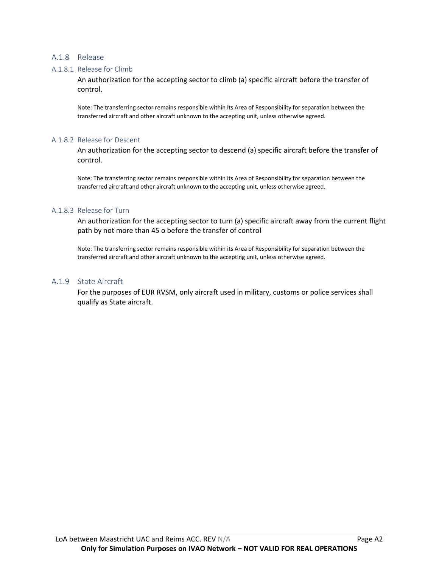#### A.1.8 Release

#### A.1.8.1 Release for Climb

An authorization for the accepting sector to climb (a) specific aircraft before the transfer of control.

Note: The transferring sector remains responsible within its Area of Responsibility for separation between the transferred aircraft and other aircraft unknown to the accepting unit, unless otherwise agreed.

#### A.1.8.2 Release for Descent

An authorization for the accepting sector to descend (a) specific aircraft before the transfer of control.

Note: The transferring sector remains responsible within its Area of Responsibility for separation between the transferred aircraft and other aircraft unknown to the accepting unit, unless otherwise agreed.

#### A.1.8.3 Release for Turn

An authorization for the accepting sector to turn (a) specific aircraft away from the current flight path by not more than 45 o before the transfer of control

Note: The transferring sector remains responsible within its Area of Responsibility for separation between the transferred aircraft and other aircraft unknown to the accepting unit, unless otherwise agreed.

#### A.1.9 State Aircraft

For the purposes of EUR RVSM, only aircraft used in military, customs or police services shall qualify as State aircraft.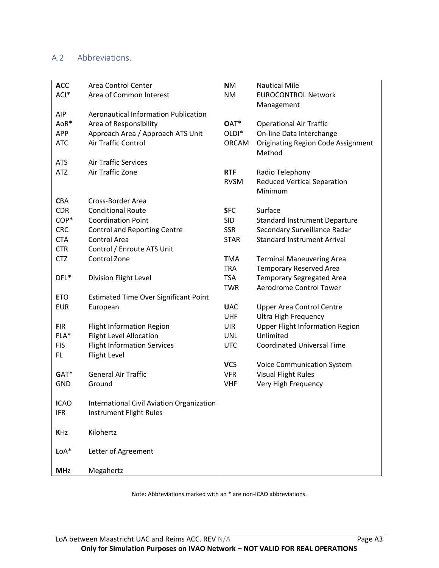# A.2 Abbreviations.

| <b>ACC</b>  | Area Control Center                          | <b>NM</b>         | <b>Nautical Mile</b>                      |
|-------------|----------------------------------------------|-------------------|-------------------------------------------|
| ACI*        | Area of Common Interest                      | <b>NM</b>         | <b>EUROCONTROL Network</b>                |
|             |                                              |                   | Management                                |
| <b>AIP</b>  | <b>Aeronautical Information Publication</b>  |                   |                                           |
| AoR*        | Area of Responsibility                       | OAT*              | <b>Operational Air Traffic</b>            |
| <b>APP</b>  | Approach Area / Approach ATS Unit            | OLDI <sup>*</sup> | On-line Data Interchange                  |
| <b>ATC</b>  | Air Traffic Control                          | <b>ORCAM</b>      | <b>Originating Region Code Assignment</b> |
|             |                                              |                   | Method                                    |
| <b>ATS</b>  | <b>Air Traffic Services</b>                  |                   |                                           |
| <b>ATZ</b>  | Air Traffic Zone                             | <b>RTF</b>        | Radio Telephony                           |
|             |                                              | <b>RVSM</b>       | <b>Reduced Vertical Separation</b>        |
|             |                                              |                   | Minimum                                   |
| <b>CBA</b>  | Cross-Border Area                            |                   |                                           |
| <b>CDR</b>  | <b>Conditional Route</b>                     | <b>SFC</b>        | Surface                                   |
| COP*        | <b>Coordination Point</b>                    | <b>SID</b>        | <b>Standard Instrument Departure</b>      |
| <b>CRC</b>  | <b>Control and Reporting Centre</b>          | <b>SSR</b>        | Secondary Surveillance Radar              |
| <b>CTA</b>  | Control Area                                 | <b>STAR</b>       | <b>Standard Instrument Arrival</b>        |
| <b>CTR</b>  | Control / Enroute ATS Unit                   |                   |                                           |
| <b>CTZ</b>  | Control Zone                                 | <b>TMA</b>        | <b>Terminal Maneuvering Area</b>          |
|             |                                              | <b>TRA</b>        | <b>Temporary Reserved Area</b>            |
| DFL*        | Division Flight Level                        | <b>TSA</b>        | <b>Temporary Segregated Area</b>          |
|             |                                              | <b>TWR</b>        | Aerodrome Control Tower                   |
| <b>ETO</b>  | <b>Estimated Time Over Significant Point</b> |                   |                                           |
| <b>EUR</b>  | European                                     | <b>UAC</b>        | <b>Upper Area Control Centre</b>          |
|             |                                              | UHF               | <b>Ultra High Frequency</b>               |
| <b>FIR</b>  | <b>Flight Information Region</b>             | <b>UIR</b>        | <b>Upper Flight Information Region</b>    |
| FLA*        | <b>Flight Level Allocation</b>               | <b>UNL</b>        | Unlimited                                 |
| <b>FIS</b>  | <b>Flight Information Services</b>           | <b>UTC</b>        | <b>Coordinated Universal Time</b>         |
| FL.         | Flight Level                                 |                   |                                           |
|             |                                              | <b>VCS</b>        | <b>Voice Communication System</b>         |
| GAT*        | <b>General Air Traffic</b>                   | <b>VFR</b>        | <b>Visual Flight Rules</b>                |
| <b>GND</b>  | Ground                                       | <b>VHF</b>        | Very High Frequency                       |
|             |                                              |                   |                                           |
| <b>ICAO</b> | International Civil Aviation Organization    |                   |                                           |
| <b>IFR</b>  | Instrument Flight Rules                      |                   |                                           |
|             |                                              |                   |                                           |
| <b>KHz</b>  | Kilohertz                                    |                   |                                           |
|             |                                              |                   |                                           |
| $LoA*$      | Letter of Agreement                          |                   |                                           |
|             |                                              |                   |                                           |
| <b>MHz</b>  | Megahertz                                    |                   |                                           |

Note: Abbreviations marked with an \* are non-ICAO abbreviations.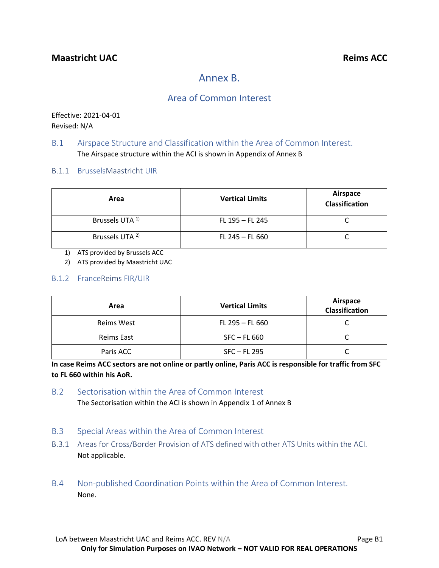# Annex B.

# Area of Common Interest

Effective: 2021-04-01 Revised: N/A

## B.1 Airspace Structure and Classification within the Area of Common Interest. The Airspace structure within the ACI is shown in Appendix of Annex B

B.1.1 BrusselsMaastricht UIR

| Area                       | <b>Vertical Limits</b> | Airspace<br>Classification |
|----------------------------|------------------------|----------------------------|
| Brussels UTA <sup>1)</sup> | FL 195 - FL 245        |                            |
| Brussels UTA <sup>2)</sup> | $FL 245 - FL 660$      |                            |

1) ATS provided by Brussels ACC

2) ATS provided by Maastricht UAC

## B.1.2 FranceReims FIR/UIR

| Area       | <b>Vertical Limits</b> | Airspace<br>Classification |
|------------|------------------------|----------------------------|
| Reims West | $FL 295 - FL 660$      |                            |
| Reims East | $SFC - FL 660$         |                            |
| Paris ACC  | $SFC$ – FL 295         |                            |

**In case Reims ACC sectors are not online or partly online, Paris ACC is responsible for traffic from SFC to FL 660 within his AoR.**

## B.2 Sectorisation within the Area of Common Interest

The Sectorisation within the ACI is shown in Appendix 1 of Annex B

- B.3 Special Areas within the Area of Common Interest
- B.3.1 Areas for Cross/Border Provision of ATS defined with other ATS Units within the ACI. Not applicable.
- B.4 Non-published Coordination Points within the Area of Common Interest. None.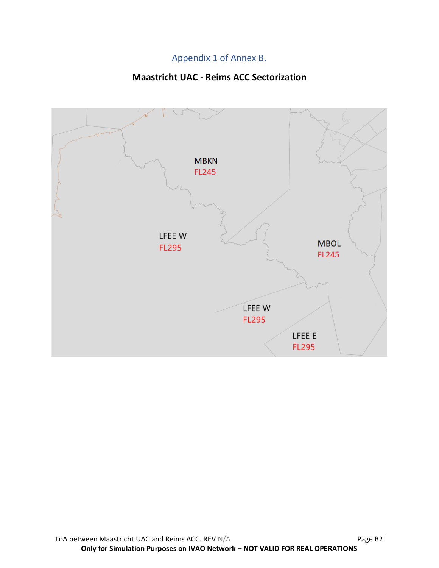# Appendix 1 of Annex B.

# **Maastricht UAC - Reims ACC Sectorization**

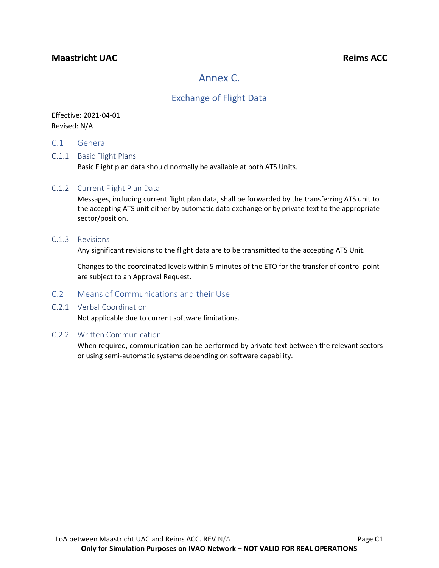# **Maastricht UAC Reims ACC**

# Annex C.

# Exchange of Flight Data

## Effective: 2021-04-01 Revised: N/A

C.1 General

## C.1.1 Basic Flight Plans

Basic Flight plan data should normally be available at both ATS Units.

### C.1.2 Current Flight Plan Data

Messages, including current flight plan data, shall be forwarded by the transferring ATS unit to the accepting ATS unit either by automatic data exchange or by private text to the appropriate sector/position.

#### C.1.3 Revisions

Any significant revisions to the flight data are to be transmitted to the accepting ATS Unit.

Changes to the coordinated levels within 5 minutes of the ETO for the transfer of control point are subject to an Approval Request.

### C.2 Means of Communications and their Use

### C.2.1 Verbal Coordination

Not applicable due to current software limitations.

### C.2.2 Written Communication

When required, communication can be performed by private text between the relevant sectors or using semi-automatic systems depending on software capability.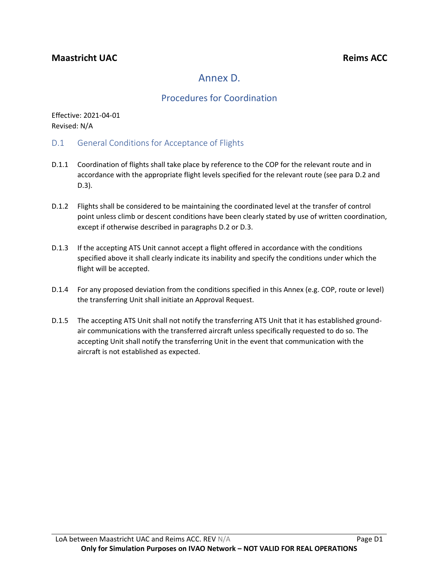# Annex D.

# Procedures for Coordination

Effective: 2021-04-01 Revised: N/A

- D.1 General Conditions for Acceptance of Flights
- D.1.1 Coordination of flights shall take place by reference to the COP for the relevant route and in accordance with the appropriate flight levels specified for the relevant route (see para D.2 and D.3).
- D.1.2 Flights shall be considered to be maintaining the coordinated level at the transfer of control point unless climb or descent conditions have been clearly stated by use of written coordination, except if otherwise described in paragraphs D.2 or D.3.
- D.1.3 If the accepting ATS Unit cannot accept a flight offered in accordance with the conditions specified above it shall clearly indicate its inability and specify the conditions under which the flight will be accepted.
- D.1.4 For any proposed deviation from the conditions specified in this Annex (e.g. COP, route or level) the transferring Unit shall initiate an Approval Request.
- D.1.5 The accepting ATS Unit shall not notify the transferring ATS Unit that it has established groundair communications with the transferred aircraft unless specifically requested to do so. The accepting Unit shall notify the transferring Unit in the event that communication with the aircraft is not established as expected.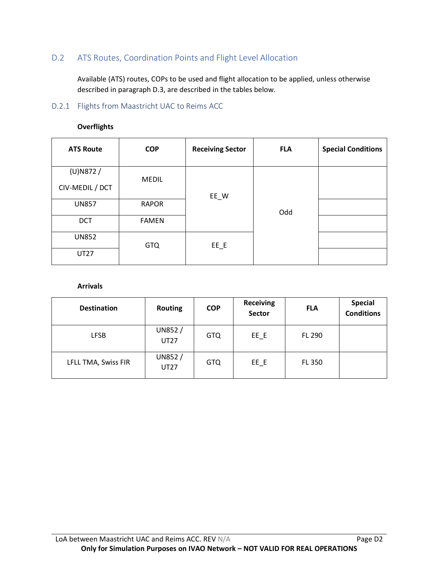# D.2 ATS Routes, Coordination Points and Flight Level Allocation

Available (ATS) routes, COPs to be used and flight allocation to be applied, unless otherwise described in paragraph D.3, are described in the tables below.

## D.2.1 Flights from Maastricht UAC to Reims ACC

| <b>ATS Route</b> | <b>COP</b>   | <b>Receiving Sector</b> | <b>FLA</b> | <b>Special Conditions</b> |
|------------------|--------------|-------------------------|------------|---------------------------|
| $(U)$ N872 /     |              |                         |            |                           |
| CIV-MEDIL / DCT  | <b>MEDIL</b> | EE_W                    |            |                           |
| <b>UN857</b>     | <b>RAPOR</b> |                         | Odd        |                           |
| <b>DCT</b>       | <b>FAMEN</b> |                         |            |                           |
| <b>UN852</b>     | <b>GTQ</b>   | $EE$ $E$                |            |                           |
| <b>UT27</b>      |              |                         |            |                           |

#### **Overflights**

**Arrivals**

| <b>Destination</b>  | <b>Routing</b>           | <b>COP</b> | <b>Receiving</b><br>Sector | <b>FLA</b>    | <b>Special</b><br><b>Conditions</b> |
|---------------------|--------------------------|------------|----------------------------|---------------|-------------------------------------|
| <b>LFSB</b>         | UN852 $/$<br><b>UT27</b> | <b>GTQ</b> | $EE$ $E$                   | FL 290        |                                     |
| LFLL TMA, Swiss FIR | UN852/<br><b>UT27</b>    | <b>GTQ</b> | $EE$ $E$                   | <b>FL 350</b> |                                     |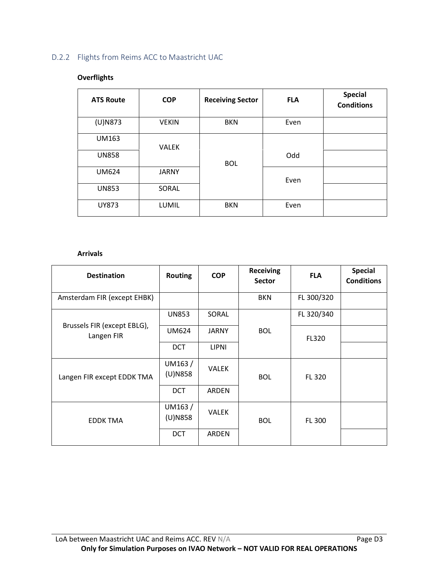# D.2.2 Flights from Reims ACC to Maastricht UAC

## **Overflights**

| <b>ATS Route</b> | <b>COP</b>   | <b>Receiving Sector</b> | <b>FLA</b> | <b>Special</b><br><b>Conditions</b> |
|------------------|--------------|-------------------------|------------|-------------------------------------|
| $(U)$ N873       | <b>VEKIN</b> | <b>BKN</b>              | Even       |                                     |
| <b>UM163</b>     | <b>VALEK</b> |                         |            |                                     |
| <b>UN858</b>     |              | <b>BOL</b>              | Odd        |                                     |
| <b>UM624</b>     | <b>JARNY</b> |                         | Even       |                                     |
| <b>UN853</b>     | SORAL        |                         |            |                                     |
| UY873            | <b>LUMIL</b> | <b>BKN</b>              | Even       |                                     |

#### **Arrivals**

| <b>Destination</b>                        | <b>Routing</b>       | <b>COP</b>   | <b>Receiving</b><br><b>Sector</b> | <b>FLA</b> | <b>Special</b><br><b>Conditions</b> |
|-------------------------------------------|----------------------|--------------|-----------------------------------|------------|-------------------------------------|
| Amsterdam FIR (except EHBK)               |                      |              | <b>BKN</b>                        | FL 300/320 |                                     |
|                                           | <b>UN853</b>         | SORAL        |                                   | FL 320/340 |                                     |
| Brussels FIR (except EBLG),<br>Langen FIR | <b>UM624</b>         | <b>JARNY</b> | <b>BOL</b>                        | FL320      |                                     |
|                                           | <b>DCT</b>           | <b>LIPNI</b> |                                   |            |                                     |
| Langen FIR except EDDK TMA                | UM163/<br>$(U)$ N858 | <b>VALEK</b> | <b>BOL</b>                        | FL 320     |                                     |
|                                           | <b>DCT</b>           | ARDEN        |                                   |            |                                     |
| <b>EDDK TMA</b>                           | UM163/<br>$(U)$ N858 | <b>VALEK</b> | <b>BOL</b>                        | FL 300     |                                     |
|                                           | <b>DCT</b>           | ARDEN        |                                   |            |                                     |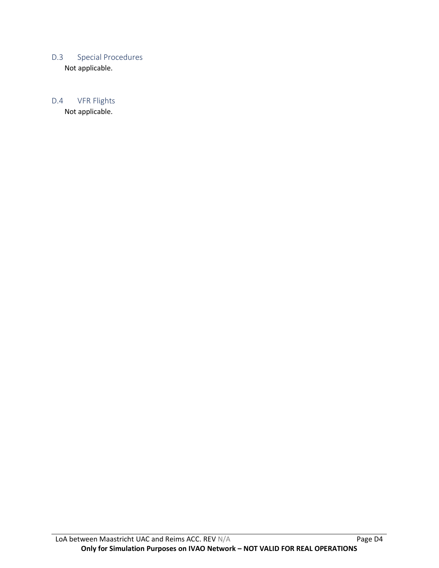## D.3 Special Procedures Not applicable.

# D.4 VFR Flights

Not applicable.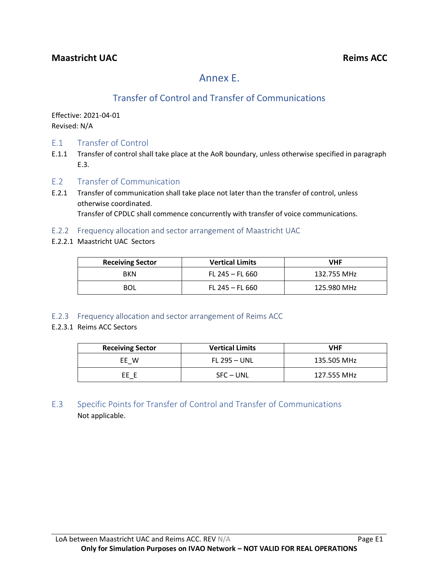# Annex E.

# Transfer of Control and Transfer of Communications

Effective: 2021-04-01 Revised: N/A

- E.1 Transfer of Control
- E.1.1 Transfer of control shall take place at the AoR boundary, unless otherwise specified in paragraph E.3.
- E.2 Transfer of Communication
- E.2.1 Transfer of communication shall take place not later than the transfer of control, unless otherwise coordinated. Transfer of CPDLC shall commence concurrently with transfer of voice communications.
- E.2.2 Frequency allocation and sector arrangement of Maastricht UAC
- E.2.2.1 Maastricht UAC Sectors

| <b>Receiving Sector</b> | <b>Vertical Limits</b> | VHF         |
|-------------------------|------------------------|-------------|
| <b>BKN</b>              | FL 245 – FL 660        | 132.755 MHz |
| BOL                     | FL 245 – FL 660        | 125.980 MHz |

## E.2.3 Frequency allocation and sector arrangement of Reims ACC

## E.2.3.1 Reims ACC Sectors

| <b>Receiving Sector</b> | <b>Vertical Limits</b> | VHF         |
|-------------------------|------------------------|-------------|
| EE W                    | $FL 295 - UNL$         | 135.505 MHz |
| FF F                    | $SFC - UNL$            | 127.555 MHz |

E.3 Specific Points for Transfer of Control and Transfer of Communications Not applicable.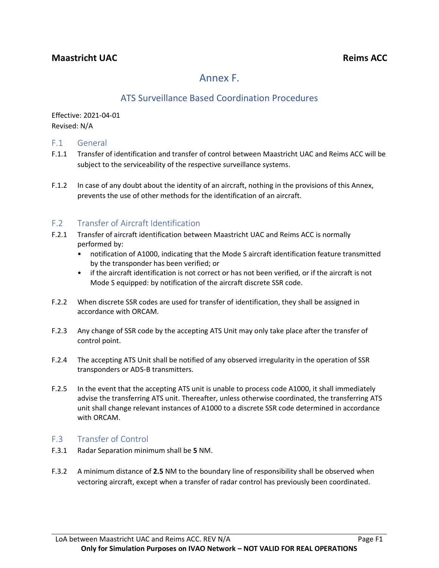# Annex F.

# ATS Surveillance Based Coordination Procedures

Effective: 2021-04-01 Revised: N/A

## F.1 General

- F.1.1 Transfer of identification and transfer of control between Maastricht UAC and Reims ACC will be subject to the serviceability of the respective surveillance systems.
- F.1.2 In case of any doubt about the identity of an aircraft, nothing in the provisions of this Annex, prevents the use of other methods for the identification of an aircraft.

# F.2 Transfer of Aircraft Identification

- F.2.1 Transfer of aircraft identification between Maastricht UAC and Reims ACC is normally performed by:
	- notification of A1000, indicating that the Mode S aircraft identification feature transmitted by the transponder has been verified; or
	- if the aircraft identification is not correct or has not been verified, or if the aircraft is not Mode S equipped: by notification of the aircraft discrete SSR code.
- F.2.2 When discrete SSR codes are used for transfer of identification, they shall be assigned in accordance with ORCAM.
- F.2.3 Any change of SSR code by the accepting ATS Unit may only take place after the transfer of control point.
- F.2.4 The accepting ATS Unit shall be notified of any observed irregularity in the operation of SSR transponders or ADS-B transmitters.
- F.2.5 In the event that the accepting ATS unit is unable to process code A1000, it shall immediately advise the transferring ATS unit. Thereafter, unless otherwise coordinated, the transferring ATS unit shall change relevant instances of A1000 to a discrete SSR code determined in accordance with ORCAM.

## F.3 Transfer of Control

- F.3.1 Radar Separation minimum shall be **5** NM.
- F.3.2 A minimum distance of **2.5** NM to the boundary line of responsibility shall be observed when vectoring aircraft, except when a transfer of radar control has previously been coordinated.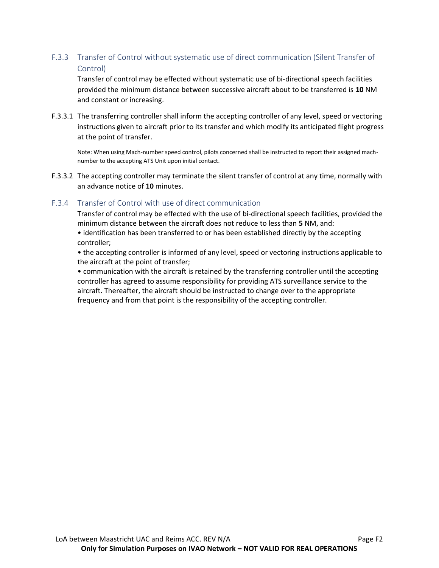## F.3.3 Transfer of Control without systematic use of direct communication (Silent Transfer of Control)

Transfer of control may be effected without systematic use of bi-directional speech facilities provided the minimum distance between successive aircraft about to be transferred is **10** NM and constant or increasing.

F.3.3.1 The transferring controller shall inform the accepting controller of any level, speed or vectoring instructions given to aircraft prior to its transfer and which modify its anticipated flight progress at the point of transfer.

Note: When using Mach-number speed control, pilots concerned shall be instructed to report their assigned machnumber to the accepting ATS Unit upon initial contact.

F.3.3.2 The accepting controller may terminate the silent transfer of control at any time, normally with an advance notice of **10** minutes.

## F.3.4 Transfer of Control with use of direct communication

Transfer of control may be effected with the use of bi-directional speech facilities, provided the minimum distance between the aircraft does not reduce to less than **5** NM, and:

• identification has been transferred to or has been established directly by the accepting controller;

• the accepting controller is informed of any level, speed or vectoring instructions applicable to the aircraft at the point of transfer;

• communication with the aircraft is retained by the transferring controller until the accepting controller has agreed to assume responsibility for providing ATS surveillance service to the aircraft. Thereafter, the aircraft should be instructed to change over to the appropriate frequency and from that point is the responsibility of the accepting controller.